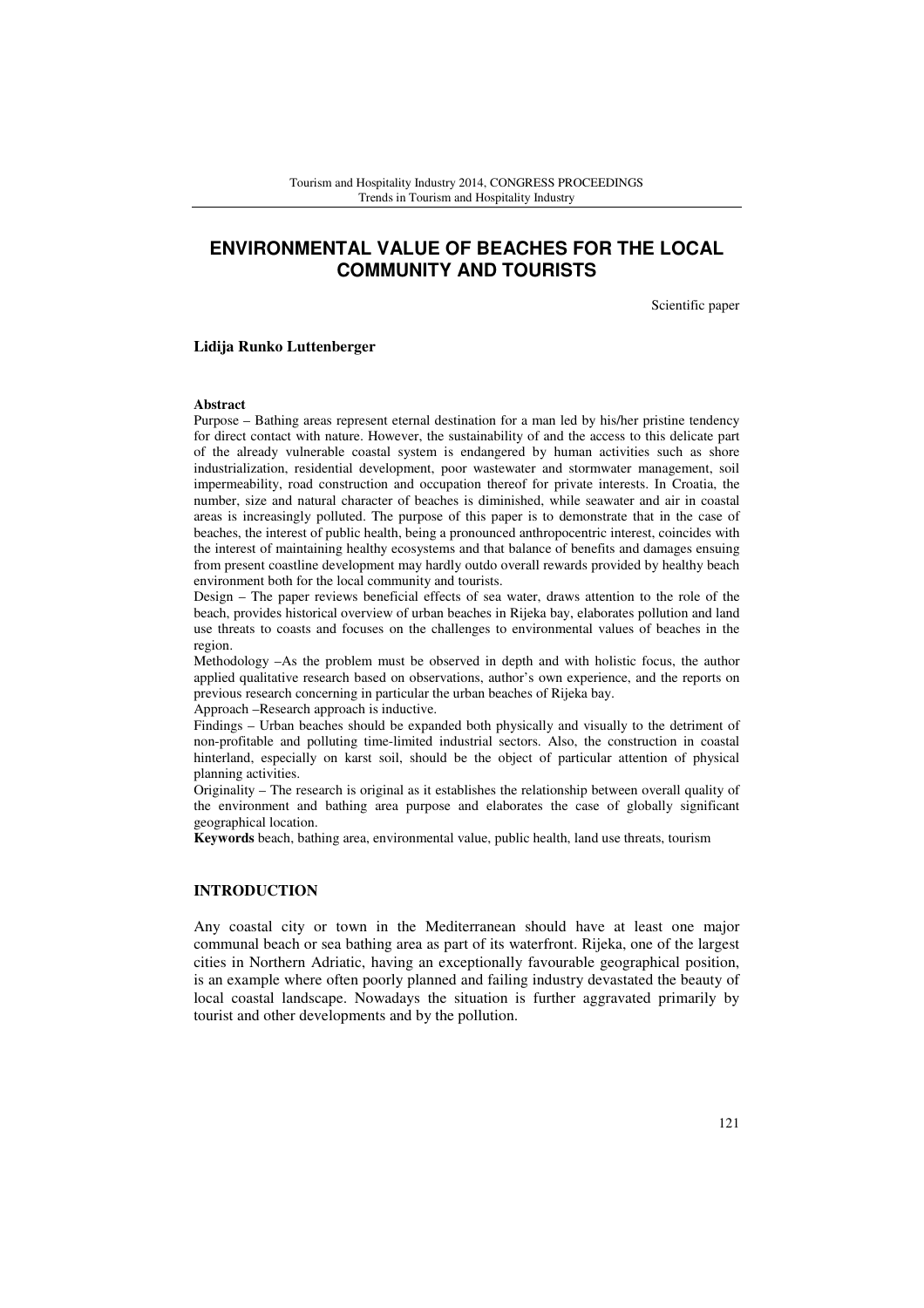# **ENVIRONMENTAL VALUE OF BEACHES FOR THE LOCAL COMMUNITY AND TOURISTS**

Scientific paper

### **Lidija Runko Luttenberger**

#### **Abstract**

Purpose – Bathing areas represent eternal destination for a man led by his/her pristine tendency for direct contact with nature. However, the sustainability of and the access to this delicate part of the already vulnerable coastal system is endangered by human activities such as shore industrialization, residential development, poor wastewater and stormwater management, soil impermeability, road construction and occupation thereof for private interests. In Croatia, the number, size and natural character of beaches is diminished, while seawater and air in coastal areas is increasingly polluted. The purpose of this paper is to demonstrate that in the case of beaches, the interest of public health, being a pronounced anthropocentric interest, coincides with the interest of maintaining healthy ecosystems and that balance of benefits and damages ensuing from present coastline development may hardly outdo overall rewards provided by healthy beach environment both for the local community and tourists.

Design – The paper reviews beneficial effects of sea water, draws attention to the role of the beach, provides historical overview of urban beaches in Rijeka bay, elaborates pollution and land use threats to coasts and focuses on the challenges to environmental values of beaches in the region.

Methodology –As the problem must be observed in depth and with holistic focus, the author applied qualitative research based on observations, author's own experience, and the reports on previous research concerning in particular the urban beaches of Rijeka bay.

Approach –Research approach is inductive.

Findings – Urban beaches should be expanded both physically and visually to the detriment of non-profitable and polluting time-limited industrial sectors. Also, the construction in coastal hinterland, especially on karst soil, should be the object of particular attention of physical planning activities.

Originality – The research is original as it establishes the relationship between overall quality of the environment and bathing area purpose and elaborates the case of globally significant geographical location.

**Keywords** beach, bathing area, environmental value, public health, land use threats, tourism

## **INTRODUCTION**

Any coastal city or town in the Mediterranean should have at least one major communal beach or sea bathing area as part of its waterfront. Rijeka, one of the largest cities in Northern Adriatic, having an exceptionally favourable geographical position, is an example where often poorly planned and failing industry devastated the beauty of local coastal landscape. Nowadays the situation is further aggravated primarily by tourist and other developments and by the pollution.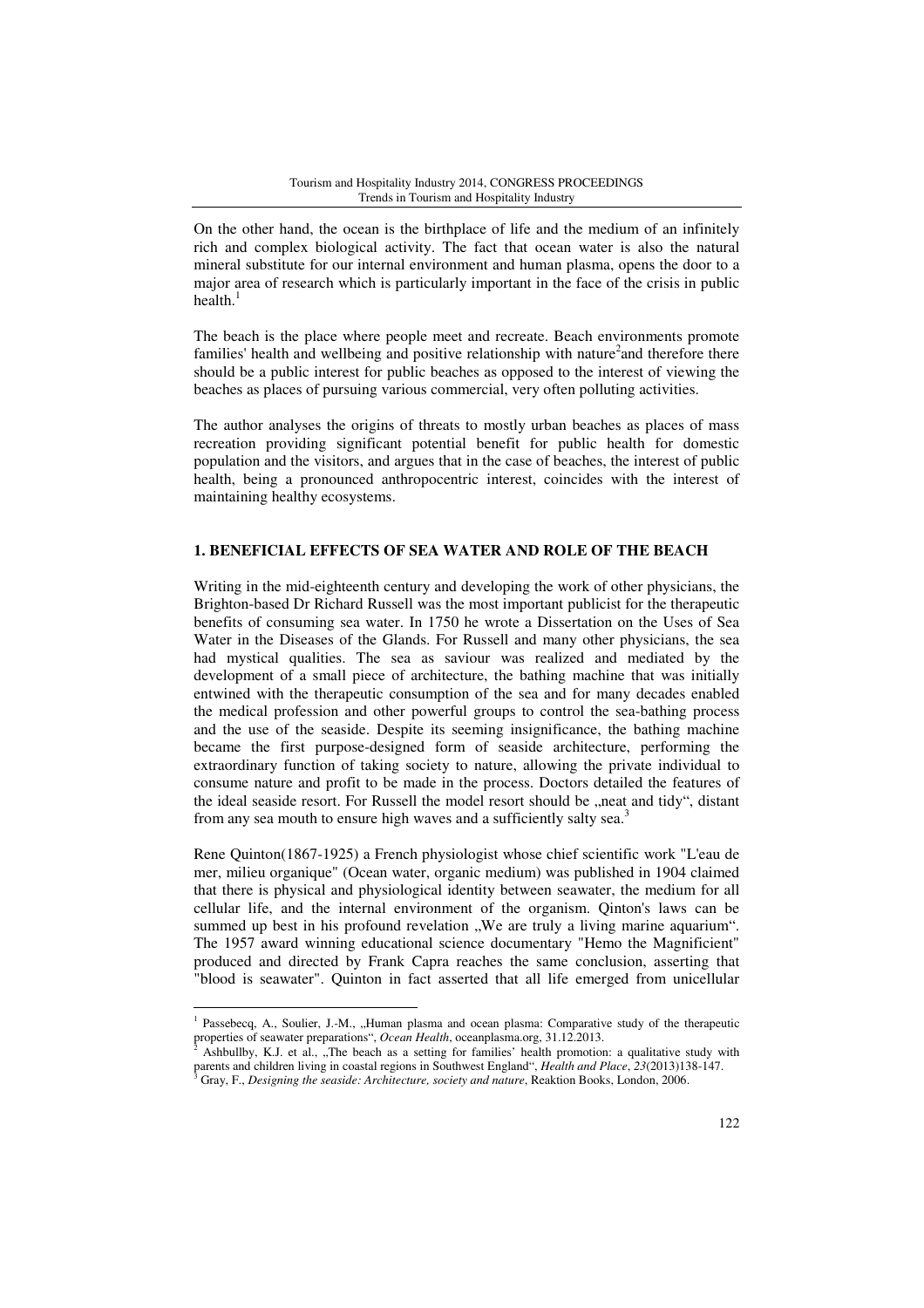On the other hand, the ocean is the birthplace of life and the medium of an infinitely rich and complex biological activity. The fact that ocean water is also the natural mineral substitute for our internal environment and human plasma, opens the door to a major area of research which is particularly important in the face of the crisis in public health. $<sup>1</sup>$ </sup>

The beach is the place where people meet and recreate. Beach environments promote families' health and wellbeing and positive relationship with nature<sup>2</sup> and therefore there should be a public interest for public beaches as opposed to the interest of viewing the beaches as places of pursuing various commercial, very often polluting activities.

The author analyses the origins of threats to mostly urban beaches as places of mass recreation providing significant potential benefit for public health for domestic population and the visitors, and argues that in the case of beaches, the interest of public health, being a pronounced anthropocentric interest, coincides with the interest of maintaining healthy ecosystems.

# **1. BENEFICIAL EFFECTS OF SEA WATER AND ROLE OF THE BEACH**

Writing in the mid-eighteenth century and developing the work of other physicians, the Brighton-based Dr Richard Russell was the most important publicist for the therapeutic benefits of consuming sea water. In 1750 he wrote a Dissertation on the Uses of Sea Water in the Diseases of the Glands. For Russell and many other physicians, the sea had mystical qualities. The sea as saviour was realized and mediated by the development of a small piece of architecture, the bathing machine that was initially entwined with the therapeutic consumption of the sea and for many decades enabled the medical profession and other powerful groups to control the sea-bathing process and the use of the seaside. Despite its seeming insignificance, the bathing machine became the first purpose-designed form of seaside architecture, performing the extraordinary function of taking society to nature, allowing the private individual to consume nature and profit to be made in the process. Doctors detailed the features of the ideal seaside resort. For Russell the model resort should be "neat and tidy", distant from any sea mouth to ensure high waves and a sufficiently salty sea.<sup>3</sup>

Rene Quinton(1867-1925) a French physiologist whose chief scientific work "L'eau de mer, milieu organique" (Ocean water, organic medium) was published in 1904 claimed that there is physical and physiological identity between seawater, the medium for all cellular life, and the internal environment of the organism. Qinton's laws can be summed up best in his profound revelation "We are truly a living marine aquarium". The 1957 award winning educational science documentary "Hemo the Magnificient" produced and directed by Frank Capra reaches the same conclusion, asserting that "blood is seawater". Quinton in fact asserted that all life emerged from unicellular

 $\overline{a}$ 

<sup>1</sup> Passebecq, A., Soulier, J.-M., "Human plasma and ocean plasma: Comparative study of the therapeutic properties of seawater preparations", *Ocean Health*, oceanplasma.org, 31.12.2013.

Ashbullby, K.J. et al., "The beach as a setting for families' health promotion: a qualitative study with parents and children living in coastal regions in Southwest England", *Health and Place*, 23(2013)138-147. Gray, F., *Designing the seaside: Architecture, society and nature*, Reaktion Books, London, 2006.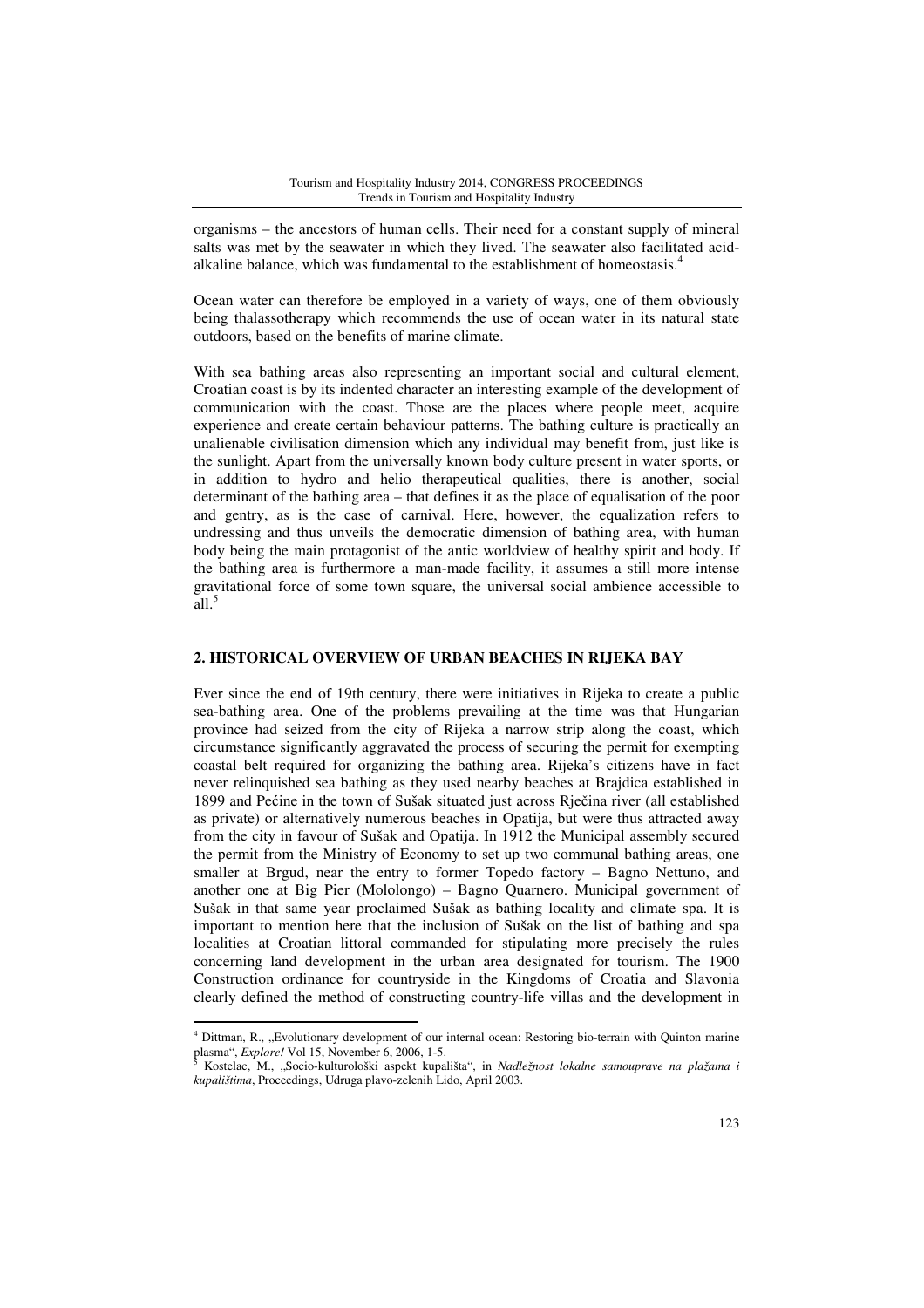organisms – the ancestors of human cells. Their need for a constant supply of mineral salts was met by the seawater in which they lived. The seawater also facilitated acidalkaline balance, which was fundamental to the establishment of homeostasis.<sup>4</sup>

Ocean water can therefore be employed in a variety of ways, one of them obviously being thalassotherapy which recommends the use of ocean water in its natural state outdoors, based on the benefits of marine climate.

With sea bathing areas also representing an important social and cultural element, Croatian coast is by its indented character an interesting example of the development of communication with the coast. Those are the places where people meet, acquire experience and create certain behaviour patterns. The bathing culture is practically an unalienable civilisation dimension which any individual may benefit from, just like is the sunlight. Apart from the universally known body culture present in water sports, or in addition to hydro and helio therapeutical qualities, there is another, social determinant of the bathing area – that defines it as the place of equalisation of the poor and gentry, as is the case of carnival. Here, however, the equalization refers to undressing and thus unveils the democratic dimension of bathing area, with human body being the main protagonist of the antic worldview of healthy spirit and body. If the bathing area is furthermore a man-made facility, it assumes a still more intense gravitational force of some town square, the universal social ambience accessible to  $\tilde{a}$ ll.<sup>5</sup>

### **2. HISTORICAL OVERVIEW OF URBAN BEACHES IN RIJEKA BAY**

Ever since the end of 19th century, there were initiatives in Rijeka to create a public sea-bathing area. One of the problems prevailing at the time was that Hungarian province had seized from the city of Rijeka a narrow strip along the coast, which circumstance significantly aggravated the process of securing the permit for exempting coastal belt required for organizing the bathing area. Rijeka's citizens have in fact never relinquished sea bathing as they used nearby beaches at Brajdica established in 1899 and Pećine in the town of Sušak situated just across Rječina river (all established as private) or alternatively numerous beaches in Opatija, but were thus attracted away from the city in favour of Sušak and Opatija. In 1912 the Municipal assembly secured the permit from the Ministry of Economy to set up two communal bathing areas, one smaller at Brgud, near the entry to former Topedo factory – Bagno Nettuno, and another one at Big Pier (Mololongo) – Bagno Quarnero. Municipal government of Sušak in that same year proclaimed Sušak as bathing locality and climate spa. It is important to mention here that the inclusion of Sušak on the list of bathing and spa localities at Croatian littoral commanded for stipulating more precisely the rules concerning land development in the urban area designated for tourism. The 1900 Construction ordinance for countryside in the Kingdoms of Croatia and Slavonia clearly defined the method of constructing country-life villas and the development in

l

<sup>&</sup>lt;sup>4</sup> Dittman, R., "Evolutionary development of our internal ocean: Restoring bio-terrain with Quinton marine plasma", *Explore!* Vol 15, November 6, 2006, 1-5.

Kostelac, M., "Socio-kulturološki aspekt kupališta", in *Nadležnost lokalne samouprave na plažama i kupalištima*, Proceedings, Udruga plavo-zelenih Lido, April 2003.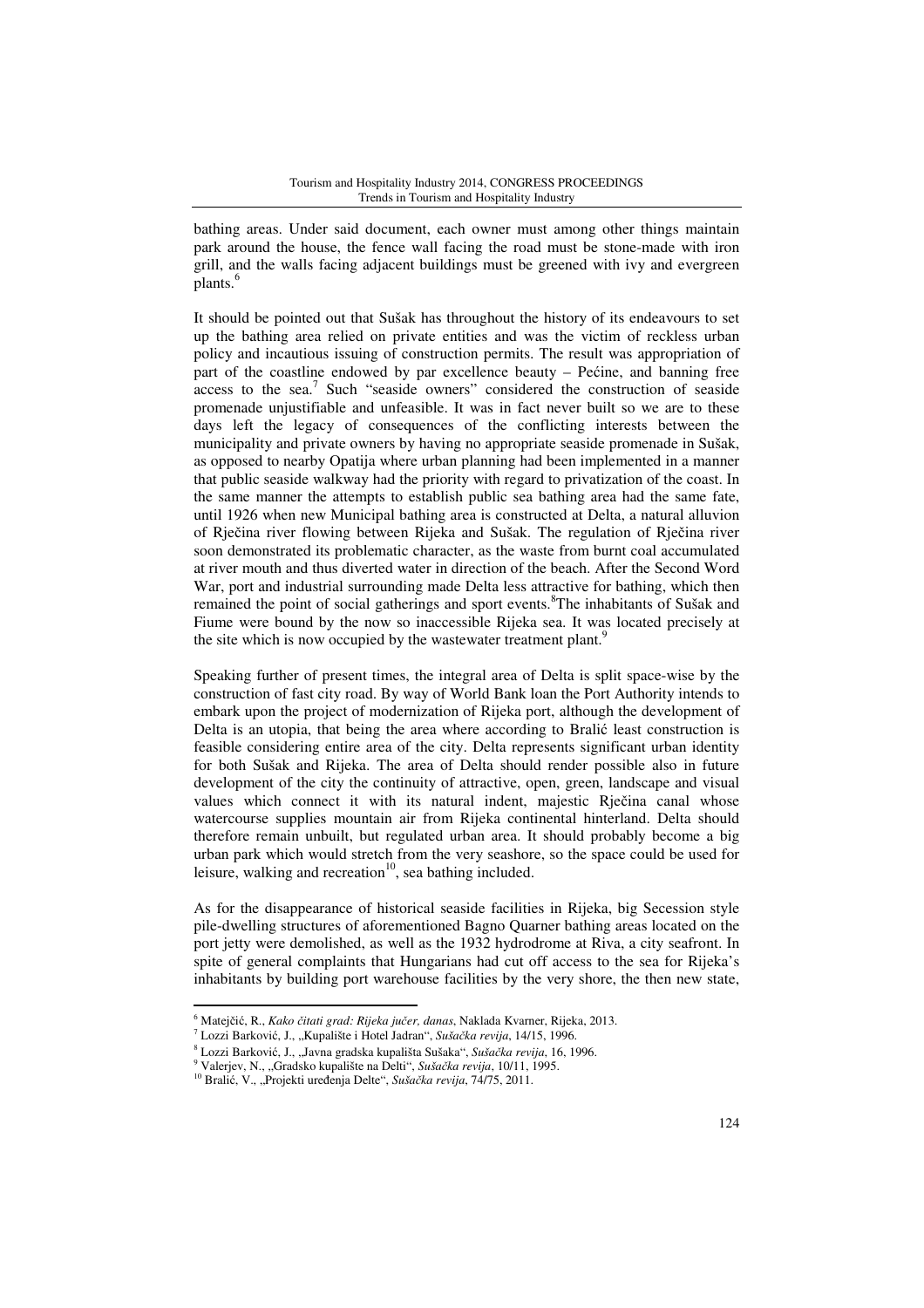bathing areas. Under said document, each owner must among other things maintain park around the house, the fence wall facing the road must be stone-made with iron grill, and the walls facing adjacent buildings must be greened with ivy and evergreen plants.<sup>6</sup>

It should be pointed out that Sušak has throughout the history of its endeavours to set up the bathing area relied on private entities and was the victim of reckless urban policy and incautious issuing of construction permits. The result was appropriation of part of the coastline endowed by par excellence beauty – Pećine, and banning free access to the sea.<sup>7</sup> Such "seaside owners" considered the construction of seaside promenade unjustifiable and unfeasible. It was in fact never built so we are to these days left the legacy of consequences of the conflicting interests between the municipality and private owners by having no appropriate seaside promenade in Sušak, as opposed to nearby Opatija where urban planning had been implemented in a manner that public seaside walkway had the priority with regard to privatization of the coast. In the same manner the attempts to establish public sea bathing area had the same fate, until 1926 when new Municipal bathing area is constructed at Delta, a natural alluvion of Rječina river flowing between Rijeka and Sušak. The regulation of Rječina river soon demonstrated its problematic character, as the waste from burnt coal accumulated at river mouth and thus diverted water in direction of the beach. After the Second Word War, port and industrial surrounding made Delta less attractive for bathing, which then remained the point of social gatherings and sport events.<sup>8</sup>The inhabitants of Sušak and Fiume were bound by the now so inaccessible Rijeka sea. It was located precisely at the site which is now occupied by the wastewater treatment plant.<sup>9</sup>

Speaking further of present times, the integral area of Delta is split space-wise by the construction of fast city road. By way of World Bank loan the Port Authority intends to embark upon the project of modernization of Rijeka port, although the development of Delta is an utopia, that being the area where according to Bralić least construction is feasible considering entire area of the city. Delta represents significant urban identity for both Sušak and Rijeka. The area of Delta should render possible also in future development of the city the continuity of attractive, open, green, landscape and visual values which connect it with its natural indent, majestic Rječina canal whose watercourse supplies mountain air from Rijeka continental hinterland. Delta should therefore remain unbuilt, but regulated urban area. It should probably become a big urban park which would stretch from the very seashore, so the space could be used for leisure, walking and recreation $10$ , sea bathing included.

As for the disappearance of historical seaside facilities in Rijeka, big Secession style pile-dwelling structures of aforementioned Bagno Quarner bathing areas located on the port jetty were demolished, as well as the 1932 hydrodrome at Riva, a city seafront. In spite of general complaints that Hungarians had cut off access to the sea for Rijeka's inhabitants by building port warehouse facilities by the very shore, the then new state,

 $\overline{a}$ 

<sup>6</sup> Matejčić, R., *Kako* č*itati grad: Rijeka ju*č*er, danas*, Naklada Kvarner, Rijeka, 2013.

<sup>7</sup> Lozzi Barković, J., "Kupalište i Hotel Jadran", *Suša*č*ka revija*, 14/15, 1996.

<sup>8</sup> Lozzi Barković, J., "Javna gradska kupališta Sušaka", *Suša*č*ka revija*, 16, 1996.

<sup>9</sup> Valerjev, N., "Gradsko kupalište na Delti", *Suša*č*ka revija*, 10/11, 1995.

<sup>&</sup>lt;sup>10</sup> Bralić, V., "Projekti uređenja Delte", Sušačka revija, 74/75, 2011.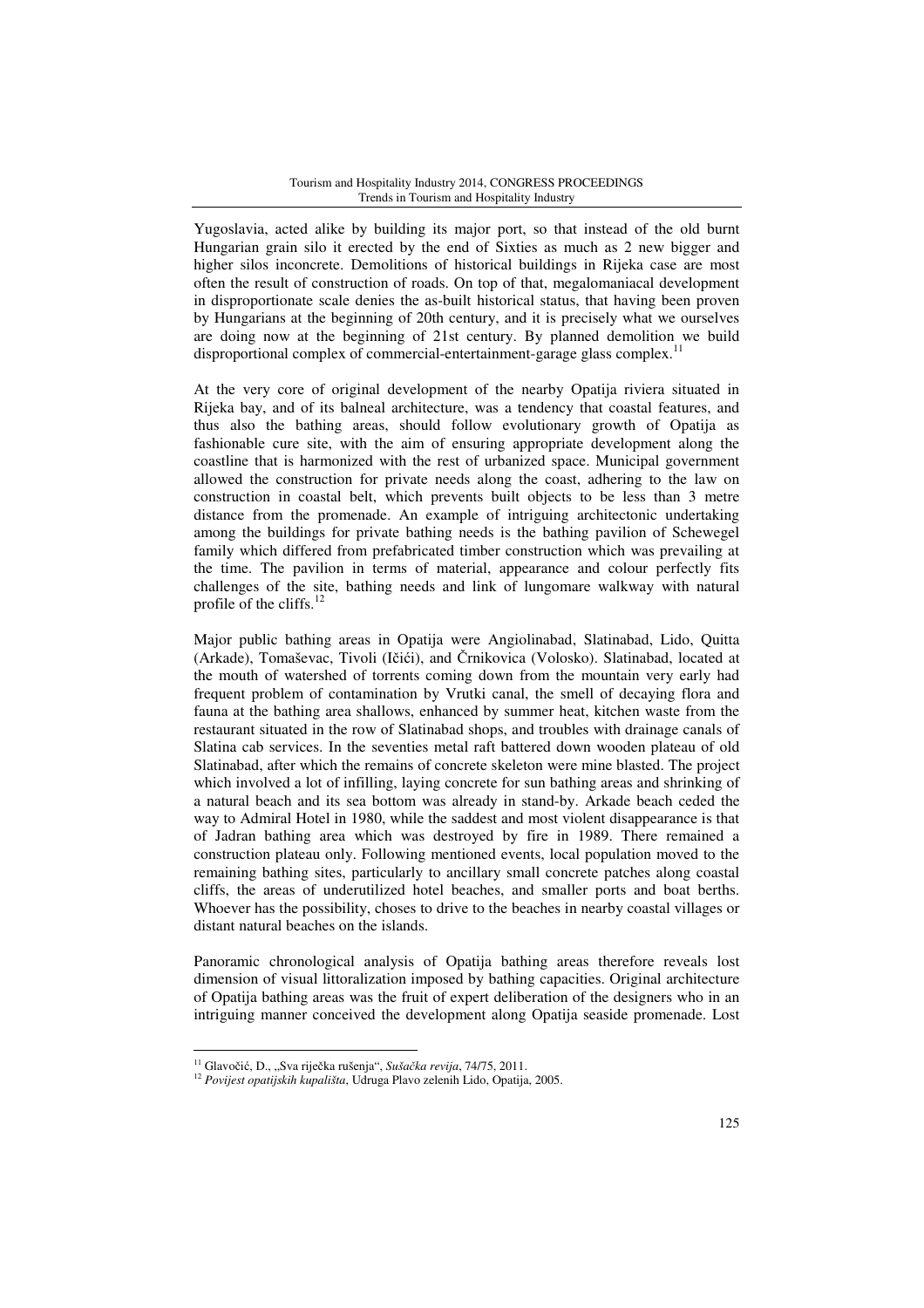Yugoslavia, acted alike by building its major port, so that instead of the old burnt Hungarian grain silo it erected by the end of Sixties as much as 2 new bigger and higher silos inconcrete. Demolitions of historical buildings in Rijeka case are most often the result of construction of roads. On top of that, megalomaniacal development in disproportionate scale denies the as-built historical status, that having been proven by Hungarians at the beginning of 20th century, and it is precisely what we ourselves are doing now at the beginning of 21st century. By planned demolition we build disproportional complex of commercial-entertainment-garage glass complex.<sup>11</sup>

At the very core of original development of the nearby Opatija riviera situated in Rijeka bay, and of its balneal architecture, was a tendency that coastal features, and thus also the bathing areas, should follow evolutionary growth of Opatija as fashionable cure site, with the aim of ensuring appropriate development along the coastline that is harmonized with the rest of urbanized space. Municipal government allowed the construction for private needs along the coast, adhering to the law on construction in coastal belt, which prevents built objects to be less than 3 metre distance from the promenade. An example of intriguing architectonic undertaking among the buildings for private bathing needs is the bathing pavilion of Schewegel family which differed from prefabricated timber construction which was prevailing at the time. The pavilion in terms of material, appearance and colour perfectly fits challenges of the site, bathing needs and link of lungomare walkway with natural profile of the cliffs. $^{12}$ 

Major public bathing areas in Opatija were Angiolinabad, Slatinabad, Lido, Quitta (Arkade), Tomaševac, Tivoli (Ičići), and Črnikovica (Volosko). Slatinabad, located at the mouth of watershed of torrents coming down from the mountain very early had frequent problem of contamination by Vrutki canal, the smell of decaying flora and fauna at the bathing area shallows, enhanced by summer heat, kitchen waste from the restaurant situated in the row of Slatinabad shops, and troubles with drainage canals of Slatina cab services. In the seventies metal raft battered down wooden plateau of old Slatinabad, after which the remains of concrete skeleton were mine blasted. The project which involved a lot of infilling, laying concrete for sun bathing areas and shrinking of a natural beach and its sea bottom was already in stand-by. Arkade beach ceded the way to Admiral Hotel in 1980, while the saddest and most violent disappearance is that of Jadran bathing area which was destroyed by fire in 1989. There remained a construction plateau only. Following mentioned events, local population moved to the remaining bathing sites, particularly to ancillary small concrete patches along coastal cliffs, the areas of underutilized hotel beaches, and smaller ports and boat berths. Whoever has the possibility, choses to drive to the beaches in nearby coastal villages or distant natural beaches on the islands.

Panoramic chronological analysis of Opatija bathing areas therefore reveals lost dimension of visual littoralization imposed by bathing capacities. Original architecture of Opatija bathing areas was the fruit of expert deliberation of the designers who in an intriguing manner conceived the development along Opatija seaside promenade. Lost

l

<sup>11</sup> Glavočić, D., "Sva riječka rušenja", *Suša*č*ka revija*, 74/75, 2011.

<sup>12</sup> *Povijest opatijskih kupališta*, Udruga Plavo zelenih Lido, Opatija, 2005.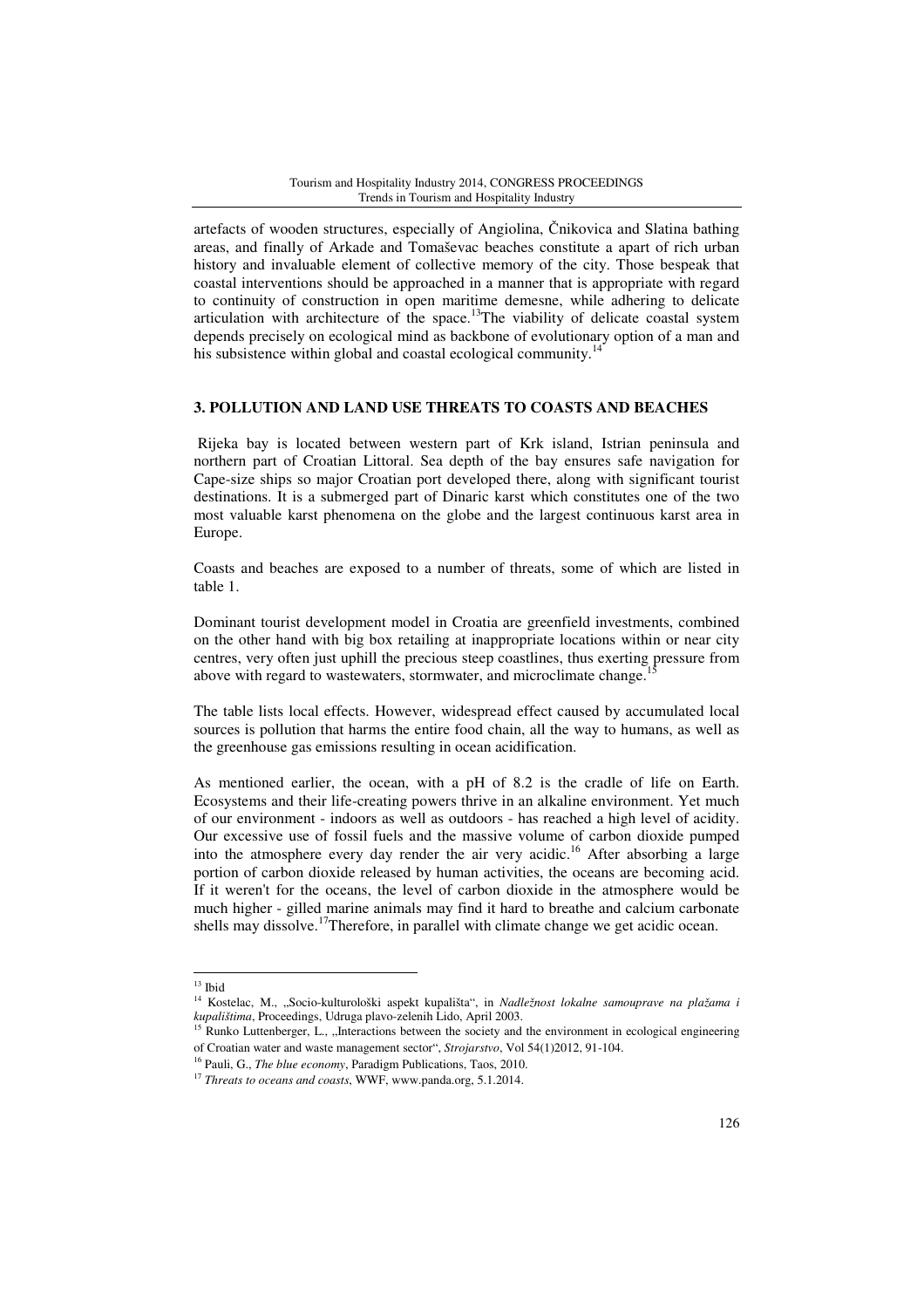artefacts of wooden structures, especially of Angiolina, Čnikovica and Slatina bathing areas, and finally of Arkade and Tomaševac beaches constitute a apart of rich urban history and invaluable element of collective memory of the city. Those bespeak that coastal interventions should be approached in a manner that is appropriate with regard to continuity of construction in open maritime demesne, while adhering to delicate articulation with architecture of the space. $13$ The viability of delicate coastal system depends precisely on ecological mind as backbone of evolutionary option of a man and his subsistence within global and coastal ecological community.<sup>14</sup>

### **3. POLLUTION AND LAND USE THREATS TO COASTS AND BEACHES**

 Rijeka bay is located between western part of Krk island, Istrian peninsula and northern part of Croatian Littoral. Sea depth of the bay ensures safe navigation for Cape-size ships so major Croatian port developed there, along with significant tourist destinations. It is a submerged part of Dinaric karst which constitutes one of the two most valuable karst phenomena on the globe and the largest continuous karst area in Europe.

Coasts and beaches are exposed to a number of threats, some of which are listed in table 1.

Dominant tourist development model in Croatia are greenfield investments, combined on the other hand with big box retailing at inappropriate locations within or near city centres, very often just uphill the precious steep coastlines, thus exerting pressure from above with regard to wastewaters, stormwater, and microclimate change.

The table lists local effects. However, widespread effect caused by accumulated local sources is pollution that harms the entire food chain, all the way to humans, as well as the greenhouse gas emissions resulting in ocean acidification.

As mentioned earlier, the ocean, with a pH of 8.2 is the cradle of life on Earth. Ecosystems and their life-creating powers thrive in an alkaline environment. Yet much of our environment - indoors as well as outdoors - has reached a high level of acidity. Our excessive use of fossil fuels and the massive volume of carbon dioxide pumped into the atmosphere every day render the air very acidic.<sup>16</sup> After absorbing a large portion of carbon dioxide released by human activities, the oceans are becoming acid. If it weren't for the oceans, the level of carbon dioxide in the atmosphere would be much higher - gilled marine animals may find it hard to breathe and calcium carbonate shells may dissolve.<sup>17</sup>Therefore, in parallel with climate change we get acidic ocean.

 $\overline{a}$ 

 $13$  Ibid

<sup>14</sup> Kostelac, M., "Socio-kulturološki aspekt kupališta", in *Nadležnost lokalne samouprave na plažama i kupalištima*, Proceedings, Udruga plavo-zelenih Lido, April 2003.

<sup>&</sup>lt;sup>15</sup> Runko Luttenberger, L., "Interactions between the society and the environment in ecological engineering of Croatian water and waste management sector", *Strojarstvo*, Vol 54(1)2012, 91-104.

<sup>16</sup> Pauli, G., *The blue economy*, Paradigm Publications, Taos, 2010.

<sup>17</sup> *Threats to oceans and coasts*, WWF, www.panda.org, 5.1.2014.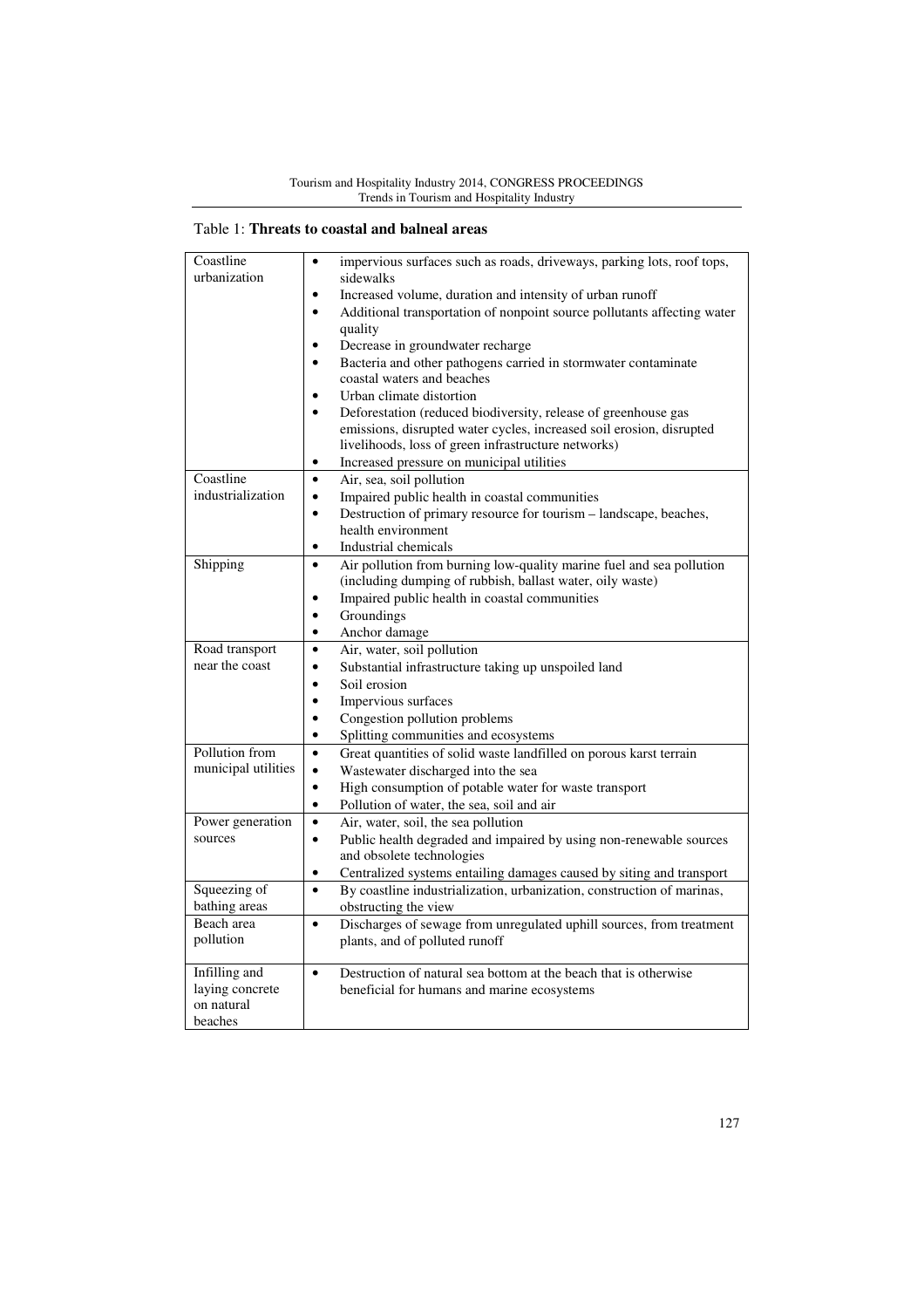# Table 1: **Threats to coastal and balneal areas**

| Coastline                     | impervious surfaces such as roads, driveways, parking lots, roof tops,<br>$\bullet$  |
|-------------------------------|--------------------------------------------------------------------------------------|
| urbanization                  | sidewalks                                                                            |
|                               | Increased volume, duration and intensity of urban runoff<br>٠                        |
|                               | Additional transportation of nonpoint source pollutants affecting water<br>$\bullet$ |
|                               | quality                                                                              |
|                               | Decrease in groundwater recharge<br>$\bullet$                                        |
|                               | Bacteria and other pathogens carried in stormwater contaminate<br>$\bullet$          |
|                               | coastal waters and beaches                                                           |
|                               | Urban climate distortion<br>$\bullet$                                                |
|                               | Deforestation (reduced biodiversity, release of greenhouse gas<br>$\bullet$          |
|                               | emissions, disrupted water cycles, increased soil erosion, disrupted                 |
|                               | livelihoods, loss of green infrastructure networks)                                  |
|                               | Increased pressure on municipal utilities                                            |
| Coastline                     | $\bullet$<br>Air, sea, soil pollution                                                |
| industrialization             | $\bullet$<br>Impaired public health in coastal communities                           |
|                               | Destruction of primary resource for tourism - landscape, beaches,<br>$\bullet$       |
|                               | health environment                                                                   |
|                               | Industrial chemicals<br>٠                                                            |
| Shipping                      | Air pollution from burning low-quality marine fuel and sea pollution<br>$\bullet$    |
|                               | (including dumping of rubbish, ballast water, oily waste)                            |
|                               | Impaired public health in coastal communities<br>$\bullet$                           |
|                               | Groundings<br>$\bullet$                                                              |
|                               | Anchor damage<br>$\bullet$                                                           |
| Road transport                | Air, water, soil pollution<br>$\bullet$                                              |
| near the coast                | Substantial infrastructure taking up unspoiled land<br>$\bullet$                     |
|                               | $\bullet$<br>Soil erosion                                                            |
|                               | Impervious surfaces<br>$\bullet$                                                     |
|                               | Congestion pollution problems<br>$\bullet$                                           |
|                               | Splitting communities and ecosystems<br>$\bullet$                                    |
| Pollution from                | Great quantities of solid waste landfilled on porous karst terrain<br>$\bullet$      |
| municipal utilities           | $\bullet$<br>Wastewater discharged into the sea                                      |
|                               | $\bullet$<br>High consumption of potable water for waste transport                   |
|                               | Pollution of water, the sea, soil and air<br>$\bullet$                               |
| Power generation              | Air, water, soil, the sea pollution<br>$\bullet$                                     |
| sources                       | $\bullet$<br>Public health degraded and impaired by using non-renewable sources      |
|                               | and obsolete technologies                                                            |
|                               | Centralized systems entailing damages caused by siting and transport<br>$\bullet$    |
| Squeezing of                  | By coastline industrialization, urbanization, construction of marinas,<br>$\bullet$  |
| bathing areas                 | obstructing the view                                                                 |
| Beach area                    | Discharges of sewage from unregulated uphill sources, from treatment<br>$\bullet$    |
| pollution                     | plants, and of polluted runoff                                                       |
|                               |                                                                                      |
| Infilling and                 | Destruction of natural sea bottom at the beach that is otherwise<br>$\bullet$        |
| laying concrete<br>on natural | beneficial for humans and marine ecosystems                                          |
| beaches                       |                                                                                      |
|                               |                                                                                      |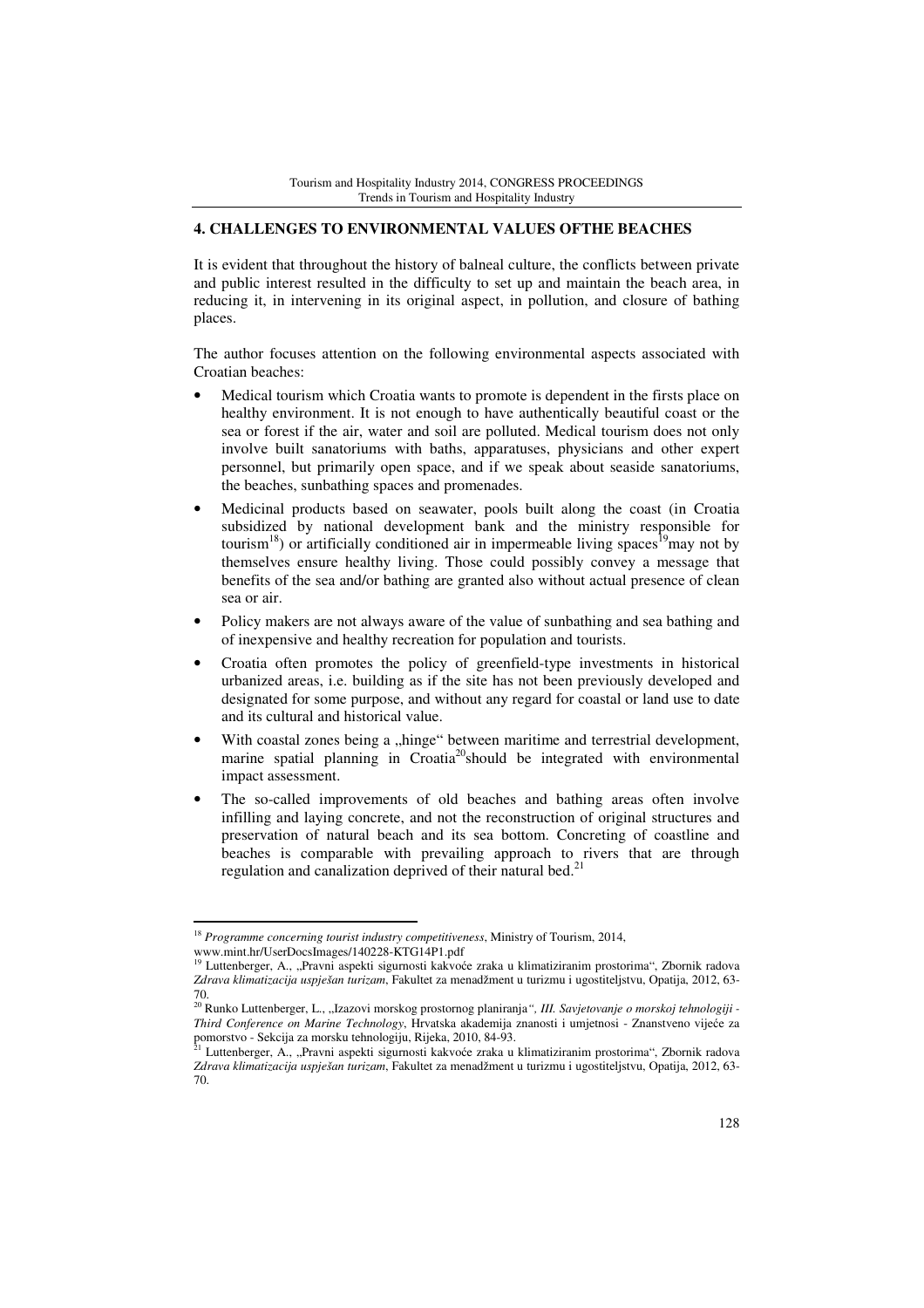# **4. CHALLENGES TO ENVIRONMENTAL VALUES OFTHE BEACHES**

It is evident that throughout the history of balneal culture, the conflicts between private and public interest resulted in the difficulty to set up and maintain the beach area, in reducing it, in intervening in its original aspect, in pollution, and closure of bathing places.

The author focuses attention on the following environmental aspects associated with Croatian beaches:

- Medical tourism which Croatia wants to promote is dependent in the firsts place on healthy environment. It is not enough to have authentically beautiful coast or the sea or forest if the air, water and soil are polluted. Medical tourism does not only involve built sanatoriums with baths, apparatuses, physicians and other expert personnel, but primarily open space, and if we speak about seaside sanatoriums, the beaches, sunbathing spaces and promenades.
- Medicinal products based on seawater, pools built along the coast (in Croatia subsidized by national development bank and the ministry responsible for tourism<sup>18</sup>) or artificially conditioned air in impermeable living spaces<sup>19</sup>may not by themselves ensure healthy living. Those could possibly convey a message that benefits of the sea and/or bathing are granted also without actual presence of clean sea or air.
- Policy makers are not always aware of the value of sunbathing and sea bathing and of inexpensive and healthy recreation for population and tourists.
- Croatia often promotes the policy of greenfield-type investments in historical urbanized areas, i.e. building as if the site has not been previously developed and designated for some purpose, and without any regard for coastal or land use to date and its cultural and historical value.
- With coastal zones being a "hinge" between maritime and terrestrial development, marine spatial planning in Croatia<sup>20</sup>should be integrated with environmental impact assessment.
- The so-called improvements of old beaches and bathing areas often involve infilling and laying concrete, and not the reconstruction of original structures and preservation of natural beach and its sea bottom. Concreting of coastline and beaches is comparable with prevailing approach to rivers that are through regulation and canalization deprived of their natural bed.<sup>21</sup>

l

<sup>18</sup> *Programme concerning tourist industry competitiveness*, Ministry of Tourism, 2014,

www.mint.hr/UserDocsImages/140228-KTG14P1.pdf<br><sup>19</sup> Luttenberger, A., "Pravni aspekti sigurnosti kakvoće zraka u klimatiziranim prostorima", Zbornik radova *Zdrava klimatizacija uspješan turizam*, Fakultet za menadžment u turizmu i ugostiteljstvu, Opatija, 2012, 63- 70.

<sup>&</sup>lt;sup>20</sup> Runko Luttenberger, L., "Izazovi morskog prostornog planiranja", III. Savjetovanje o morskoj tehnologiji -*Third Conference on Marine Technology*, Hrvatska akademija znanosti i umjetnosi - Znanstveno vijeće za pomorstvo - Sekcija za morsku tehnologiju, Rijeka, 2010, 84-93.<br><sup>21</sup> Luttenberger, A., "Pravni aspekti sigurnosti kakvoće zraka u klimatiziranim prostorima", Zbornik radova

*Zdrava klimatizacija uspješan turizam*, Fakultet za menadžment u turizmu i ugostiteljstvu, Opatija, 2012, 63- 70.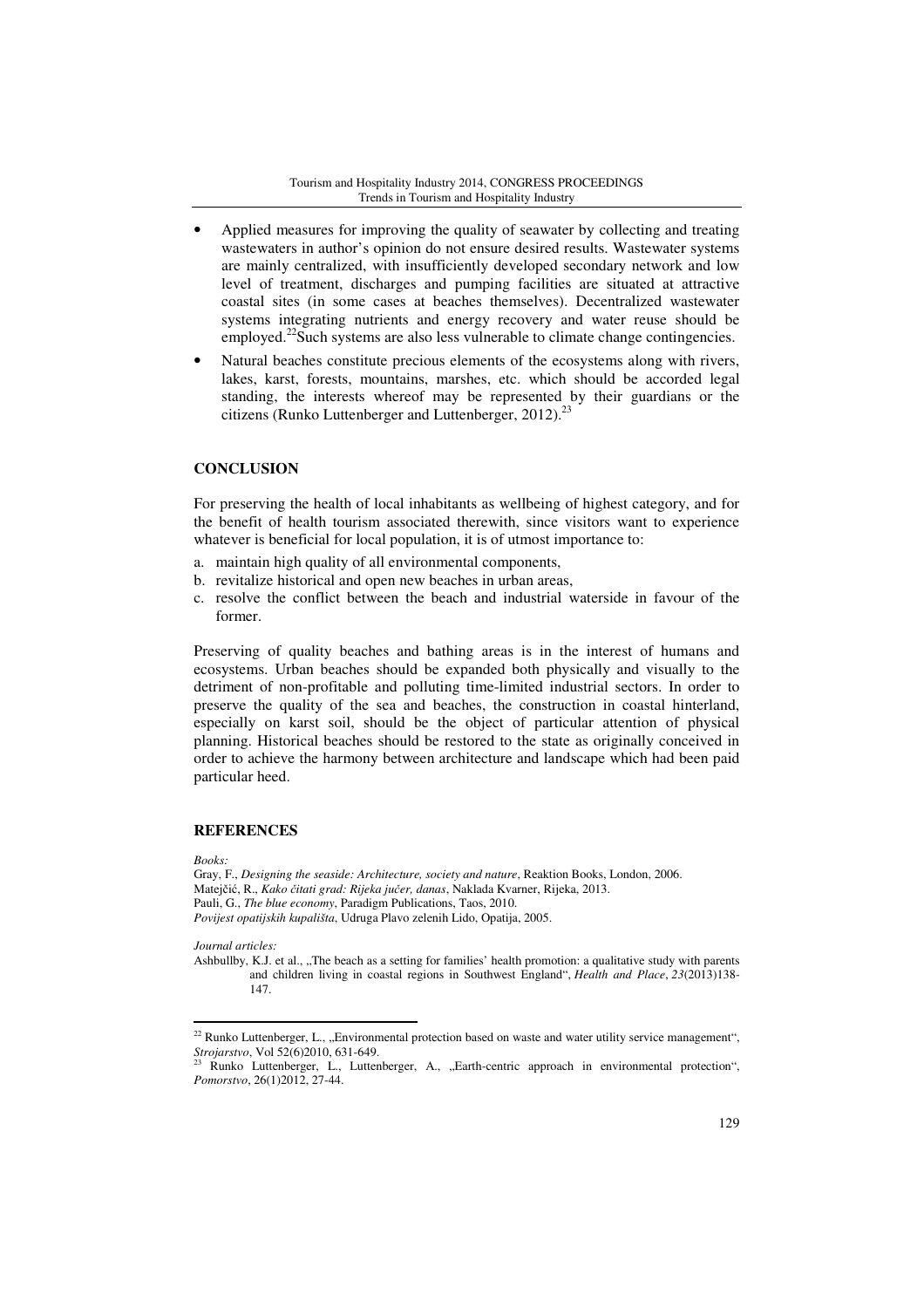- Applied measures for improving the quality of seawater by collecting and treating wastewaters in author's opinion do not ensure desired results. Wastewater systems are mainly centralized, with insufficiently developed secondary network and low level of treatment, discharges and pumping facilities are situated at attractive coastal sites (in some cases at beaches themselves). Decentralized wastewater systems integrating nutrients and energy recovery and water reuse should be employed.<sup>22</sup>Such systems are also less vulnerable to climate change contingencies.
- Natural beaches constitute precious elements of the ecosystems along with rivers, lakes, karst, forests, mountains, marshes, etc. which should be accorded legal standing, the interests whereof may be represented by their guardians or the citizens (Runko Luttenberger and Luttenberger, 2012). $^{23}$

# **CONCLUSION**

For preserving the health of local inhabitants as wellbeing of highest category, and for the benefit of health tourism associated therewith, since visitors want to experience whatever is beneficial for local population, it is of utmost importance to:

- a. maintain high quality of all environmental components,
- b. revitalize historical and open new beaches in urban areas,
- c. resolve the conflict between the beach and industrial waterside in favour of the former.

Preserving of quality beaches and bathing areas is in the interest of humans and ecosystems. Urban beaches should be expanded both physically and visually to the detriment of non-profitable and polluting time-limited industrial sectors. In order to preserve the quality of the sea and beaches, the construction in coastal hinterland, especially on karst soil, should be the object of particular attention of physical planning. Historical beaches should be restored to the state as originally conceived in order to achieve the harmony between architecture and landscape which had been paid particular heed.

### **REFERENCES**

*Books:* 

l

Gray, F., *Designing the seaside: Architecture, society and nature*, Reaktion Books, London, 2006. Matejčić, R., *Kako* č*itati grad: Rijeka ju*č*er, danas*, Naklada Kvarner, Rijeka, 2013. Pauli, G., *The blue economy*, Paradigm Publications, Taos, 2010. *Povijest opatijskih kupališta*, Udruga Plavo zelenih Lido, Opatija, 2005.

*Journal articles:* 

Ashbullby, K.J. et al., "The beach as a setting for families' health promotion: a qualitative study with parents and children living in coastal regions in Southwest England", *Health and Place*, *23*(2013)138- 147.

 $22$  Runko Luttenberger, L., "Environmental protection based on waste and water utility service management", *Strojarstvo*, Vol 52(6)2010, 631-649.

Runko Luttenberger, L., Luttenberger, A., "Earth-centric approach in environmental protection", *Pomorstvo*, 26(1)2012, 27-44.